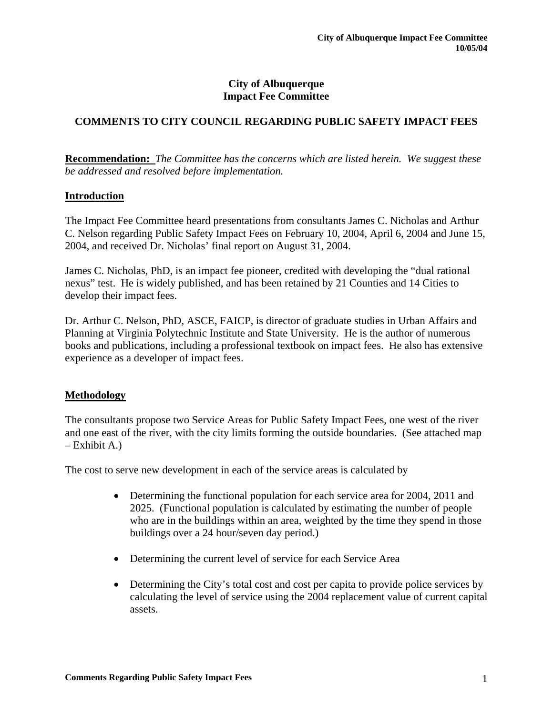#### **City of Albuquerque Impact Fee Committee**

# **COMMENTS TO CITY COUNCIL REGARDING PUBLIC SAFETY IMPACT FEES**

**Recommendation:** *The Committee has the concerns which are listed herein. We suggest these be addressed and resolved before implementation.* 

#### **Introduction**

The Impact Fee Committee heard presentations from consultants James C. Nicholas and Arthur C. Nelson regarding Public Safety Impact Fees on February 10, 2004, April 6, 2004 and June 15, 2004, and received Dr. Nicholas' final report on August 31, 2004.

James C. Nicholas, PhD, is an impact fee pioneer, credited with developing the "dual rational nexus" test. He is widely published, and has been retained by 21 Counties and 14 Cities to develop their impact fees.

Dr. Arthur C. Nelson, PhD, ASCE, FAICP, is director of graduate studies in Urban Affairs and Planning at Virginia Polytechnic Institute and State University. He is the author of numerous books and publications, including a professional textbook on impact fees. He also has extensive experience as a developer of impact fees.

#### **Methodology**

The consultants propose two Service Areas for Public Safety Impact Fees, one west of the river and one east of the river, with the city limits forming the outside boundaries. (See attached map – Exhibit A.)

The cost to serve new development in each of the service areas is calculated by

- Determining the functional population for each service area for 2004, 2011 and 2025. (Functional population is calculated by estimating the number of people who are in the buildings within an area, weighted by the time they spend in those buildings over a 24 hour/seven day period.)
- Determining the current level of service for each Service Area
- Determining the City's total cost and cost per capita to provide police services by calculating the level of service using the 2004 replacement value of current capital assets.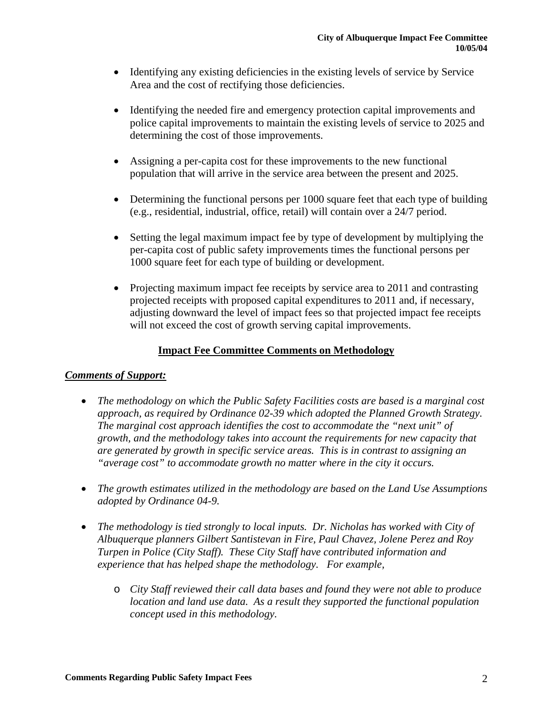- Identifying any existing deficiencies in the existing levels of service by Service Area and the cost of rectifying those deficiencies.
- Identifying the needed fire and emergency protection capital improvements and police capital improvements to maintain the existing levels of service to 2025 and determining the cost of those improvements.
- Assigning a per-capita cost for these improvements to the new functional population that will arrive in the service area between the present and 2025.
- Determining the functional persons per 1000 square feet that each type of building (e.g., residential, industrial, office, retail) will contain over a 24/7 period.
- Setting the legal maximum impact fee by type of development by multiplying the per-capita cost of public safety improvements times the functional persons per 1000 square feet for each type of building or development.
- Projecting maximum impact fee receipts by service area to 2011 and contrasting projected receipts with proposed capital expenditures to 2011 and, if necessary, adjusting downward the level of impact fees so that projected impact fee receipts will not exceed the cost of growth serving capital improvements.

# **Impact Fee Committee Comments on Methodology**

## *Comments of Support:*

- *The methodology on which the Public Safety Facilities costs are based is a marginal cost approach, as required by Ordinance 02-39 which adopted the Planned Growth Strategy. The marginal cost approach identifies the cost to accommodate the "next unit" of growth, and the methodology takes into account the requirements for new capacity that are generated by growth in specific service areas. This is in contrast to assigning an "average cost" to accommodate growth no matter where in the city it occurs.*
- *The growth estimates utilized in the methodology are based on the Land Use Assumptions adopted by Ordinance 04-9.*
- *The methodology is tied strongly to local inputs. Dr. Nicholas has worked with City of Albuquerque planners Gilbert Santistevan in Fire, Paul Chavez, Jolene Perez and Roy Turpen in Police (City Staff). These City Staff have contributed information and experience that has helped shape the methodology. For example,*
	- o *City Staff reviewed their call data bases and found they were not able to produce location and land use data. As a result they supported the functional population concept used in this methodology.*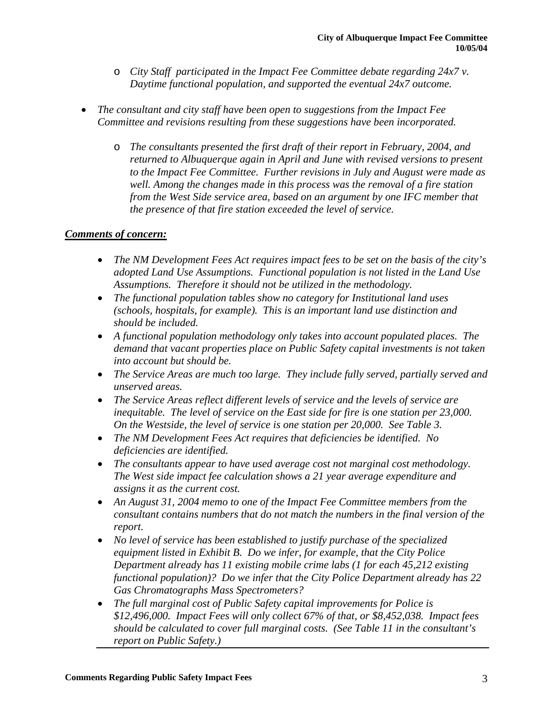- o *City Staff participated in the Impact Fee Committee debate regarding 24x7 v. Daytime functional population, and supported the eventual 24x7 outcome.*
- *The consultant and city staff have been open to suggestions from the Impact Fee Committee and revisions resulting from these suggestions have been incorporated.*
	- o *The consultants presented the first draft of their report in February, 2004, and returned to Albuquerque again in April and June with revised versions to present to the Impact Fee Committee. Further revisions in July and August were made as well. Among the changes made in this process was the removal of a fire station from the West Side service area, based on an argument by one IFC member that the presence of that fire station exceeded the level of service.*

# *Comments of concern:*

- *The NM Development Fees Act requires impact fees to be set on the basis of the city's adopted Land Use Assumptions. Functional population is not listed in the Land Use Assumptions. Therefore it should not be utilized in the methodology.*
- *The functional population tables show no category for Institutional land uses (schools, hospitals, for example). This is an important land use distinction and should be included.*
- *A functional population methodology only takes into account populated places. The demand that vacant properties place on Public Safety capital investments is not taken into account but should be.*
- *The Service Areas are much too large. They include fully served, partially served and unserved areas.*
- *The Service Areas reflect different levels of service and the levels of service are inequitable. The level of service on the East side for fire is one station per 23,000. On the Westside, the level of service is one station per 20,000. See Table 3.*
- *The NM Development Fees Act requires that deficiencies be identified. No deficiencies are identified.*
- *The consultants appear to have used average cost not marginal cost methodology. The West side impact fee calculation shows a 21 year average expenditure and assigns it as the current cost.*
- *An August 31, 2004 memo to one of the Impact Fee Committee members from the consultant contains numbers that do not match the numbers in the final version of the report.*
- *No level of service has been established to justify purchase of the specialized equipment listed in Exhibit B. Do we infer, for example, that the City Police Department already has 11 existing mobile crime labs (1 for each 45,212 existing functional population)? Do we infer that the City Police Department already has 22 Gas Chromatographs Mass Spectrometers?*
- *The full marginal cost of Public Safety capital improvements for Police is \$12,496,000. Impact Fees will only collect 67% of that, or \$8,452,038. Impact fees should be calculated to cover full marginal costs. (See Table 11 in the consultant's report on Public Safety.)*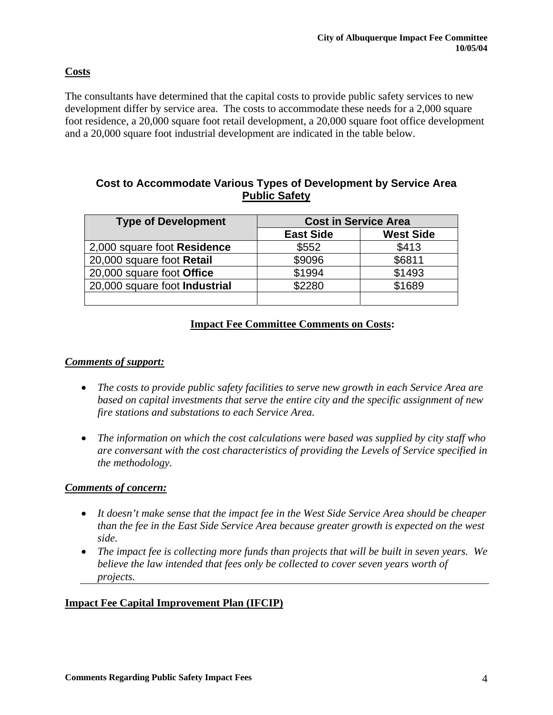## **Costs**

The consultants have determined that the capital costs to provide public safety services to new development differ by service area. The costs to accommodate these needs for a 2,000 square foot residence, a 20,000 square foot retail development, a 20,000 square foot office development and a 20,000 square foot industrial development are indicated in the table below.

# **Cost to Accommodate Various Types of Development by Service Area Public Safety**

| <b>Type of Development</b>    | <b>Cost in Service Area</b> |                  |  |  |  |  |  |
|-------------------------------|-----------------------------|------------------|--|--|--|--|--|
|                               | <b>East Side</b>            | <b>West Side</b> |  |  |  |  |  |
| 2,000 square foot Residence   | \$552                       | \$413            |  |  |  |  |  |
| 20,000 square foot Retail     | \$9096                      | \$6811           |  |  |  |  |  |
| 20,000 square foot Office     | \$1994                      | \$1493           |  |  |  |  |  |
| 20,000 square foot Industrial | \$2280                      | \$1689           |  |  |  |  |  |
|                               |                             |                  |  |  |  |  |  |

## **Impact Fee Committee Comments on Costs:**

#### *Comments of support:*

- *The costs to provide public safety facilities to serve new growth in each Service Area are based on capital investments that serve the entire city and the specific assignment of new fire stations and substations to each Service Area.*
- *The information on which the cost calculations were based was supplied by city staff who are conversant with the cost characteristics of providing the Levels of Service specified in the methodology.*

#### *Comments of concern:*

- *It doesn't make sense that the impact fee in the West Side Service Area should be cheaper than the fee in the East Side Service Area because greater growth is expected on the west side.*
- *The impact fee is collecting more funds than projects that will be built in seven years. We believe the law intended that fees only be collected to cover seven years worth of projects.*

## **Impact Fee Capital Improvement Plan (IFCIP)**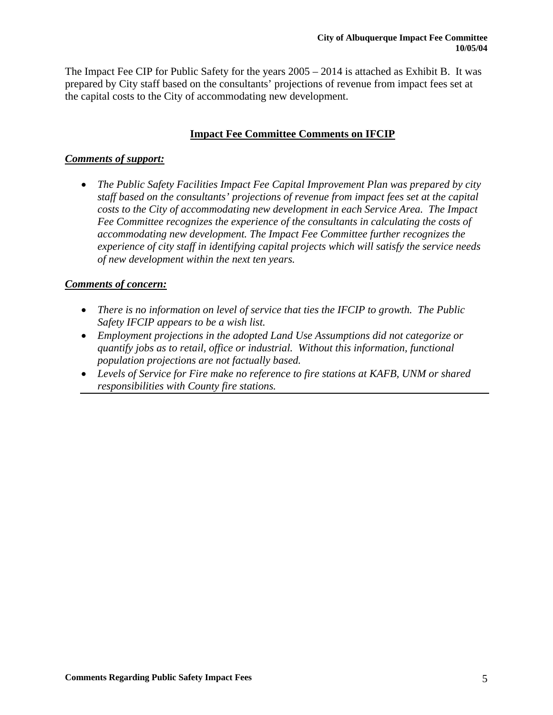The Impact Fee CIP for Public Safety for the years 2005 – 2014 is attached as Exhibit B. It was prepared by City staff based on the consultants' projections of revenue from impact fees set at the capital costs to the City of accommodating new development.

# **Impact Fee Committee Comments on IFCIP**

## *Comments of support:*

• *The Public Safety Facilities Impact Fee Capital Improvement Plan was prepared by city staff based on the consultants' projections of revenue from impact fees set at the capital costs to the City of accommodating new development in each Service Area. The Impact Fee Committee recognizes the experience of the consultants in calculating the costs of accommodating new development. The Impact Fee Committee further recognizes the experience of city staff in identifying capital projects which will satisfy the service needs of new development within the next ten years.*

# *Comments of concern:*

- *There is no information on level of service that ties the IFCIP to growth. The Public Safety IFCIP appears to be a wish list.*
- *Employment projections in the adopted Land Use Assumptions did not categorize or quantify jobs as to retail, office or industrial. Without this information, functional population projections are not factually based.*
- *Levels of Service for Fire make no reference to fire stations at KAFB, UNM or shared responsibilities with County fire stations.*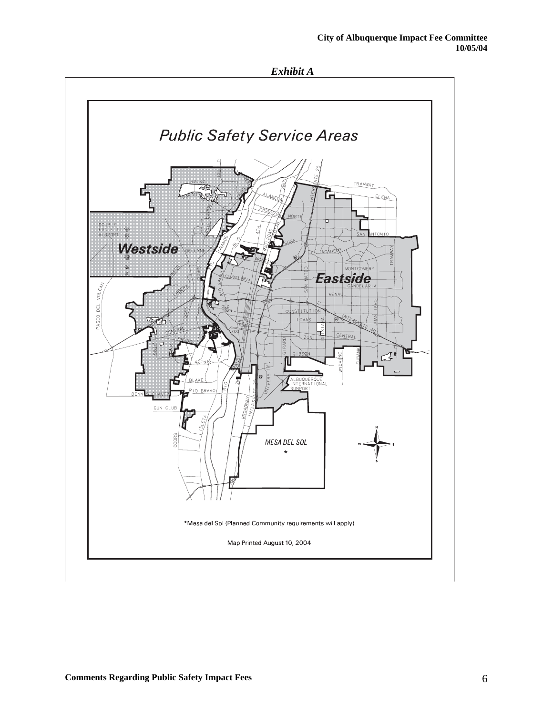

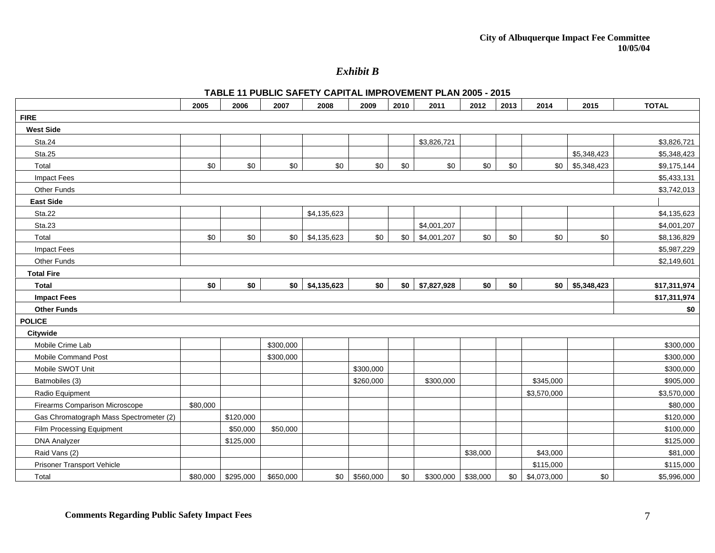*Exhibit B* 

#### **TABLE 11 PUBLIC SAFETY CAPITAL IMPROVEMENT PLAN 2005 - 2015**

|                                         | 2005     | 2006      | 2007      | 2008        | 2009      | 2010 | 2011        | 2012     | 2013 | 2014         | 2015        | <b>TOTAL</b> |
|-----------------------------------------|----------|-----------|-----------|-------------|-----------|------|-------------|----------|------|--------------|-------------|--------------|
| <b>FIRE</b>                             |          |           |           |             |           |      |             |          |      |              |             |              |
| <b>West Side</b>                        |          |           |           |             |           |      |             |          |      |              |             |              |
| Sta.24                                  |          |           |           |             |           |      | \$3,826,721 |          |      |              |             | \$3,826,721  |
| <b>Sta.25</b>                           |          |           |           |             |           |      |             |          |      |              | \$5,348,423 | \$5,348,423  |
| Total                                   | \$0      | \$0       | \$0       | \$0         | \$0       | \$0  | \$0         | \$0      | \$0  | \$0          | \$5,348,423 | \$9,175,144  |
| <b>Impact Fees</b>                      |          |           |           |             |           |      |             |          |      |              |             | \$5,433,131  |
| Other Funds                             |          |           |           |             |           |      |             |          |      |              |             | \$3,742,013  |
| <b>East Side</b>                        |          |           |           |             |           |      |             |          |      |              |             |              |
| Sta.22                                  |          |           |           | \$4,135,623 |           |      |             |          |      |              |             | \$4,135,623  |
| Sta.23                                  |          |           |           |             |           |      | \$4,001,207 |          |      |              |             | \$4,001,207  |
| Total                                   | \$0      | \$0       | \$0       | \$4,135,623 | \$0       | \$0  | \$4,001,207 | \$0      | \$0  | \$0          | \$0         | \$8,136,829  |
| <b>Impact Fees</b>                      |          |           |           |             |           |      |             |          |      |              |             | \$5,987,229  |
| Other Funds                             |          |           |           |             |           |      |             |          |      |              |             | \$2,149,601  |
| <b>Total Fire</b>                       |          |           |           |             |           |      |             |          |      |              |             |              |
| <b>Total</b>                            | \$0      | \$0       | \$0       | \$4,135,623 | \$0       | \$0  | \$7,827,928 | \$0      | \$0  | \$0          | \$5,348,423 | \$17,311,974 |
| <b>Impact Fees</b>                      |          |           |           |             |           |      |             |          |      | \$17,311,974 |             |              |
| <b>Other Funds</b>                      |          |           |           |             |           |      |             |          | \$0  |              |             |              |
| <b>POLICE</b>                           |          |           |           |             |           |      |             |          |      |              |             |              |
| Citywide                                |          |           |           |             |           |      |             |          |      |              |             |              |
| Mobile Crime Lab                        |          |           | \$300,000 |             |           |      |             |          |      |              |             | \$300,000    |
| Mobile Command Post                     |          |           | \$300,000 |             |           |      |             |          |      |              |             | \$300,000    |
| Mobile SWOT Unit                        |          |           |           |             | \$300,000 |      |             |          |      |              |             | \$300,000    |
| Batmobiles (3)                          |          |           |           |             | \$260,000 |      | \$300,000   |          |      | \$345,000    |             | \$905,000    |
| Radio Equipment                         |          |           |           |             |           |      |             |          |      | \$3,570,000  |             | \$3,570,000  |
| Firearms Comparison Microscope          | \$80,000 |           |           |             |           |      |             |          |      |              |             | \$80,000     |
| Gas Chromatograph Mass Spectrometer (2) |          | \$120,000 |           |             |           |      |             |          |      |              |             | \$120,000    |
| Film Processing Equipment               |          | \$50,000  | \$50,000  |             |           |      |             |          |      |              |             | \$100,000    |
| <b>DNA Analyzer</b>                     |          | \$125,000 |           |             |           |      |             |          |      |              |             | \$125,000    |
| Raid Vans (2)                           |          |           |           |             |           |      |             | \$38,000 |      | \$43,000     |             | \$81,000     |
| Prisoner Transport Vehicle              |          |           |           |             |           |      |             |          |      | \$115,000    |             | \$115,000    |
| Total                                   | \$80,000 | \$295,000 | \$650,000 | \$0         | \$560,000 | \$0  | \$300,000   | \$38,000 | \$0  | \$4,073,000  | \$0         | \$5,996,000  |